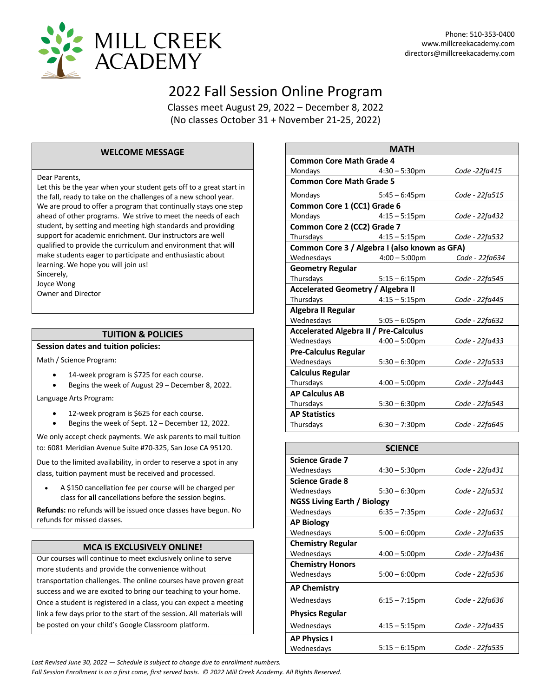

# 2022 Fall Session Online Program

Classes meet August 29, 2022 – December 8, 2022 (No classes October 31 + November 21-25, 2022)

#### **WELCOME MESSAGE**

#### Dear Parents,

Let this be the year when your student gets off to a great start in the fall, ready to take on the challenges of a new school year. We are proud to offer a program that continually stays one step ahead of other programs. We strive to meet the needs of each student, by setting and meeting high standards and providing support for academic enrichment. Our instructors are well qualified to provide the curriculum and environment that will make students eager to participate and enthusiastic about learning. We hope you will join us! Sincerely, Joyce Wong Owner and Director

#### **TUITION & POLICIES**

**Session dates and tuition policies:**

- Math / Science Program:
	- 14-week program is \$725 for each course.
	- Begins the week of August 29 December 8, 2022.

Language Arts Program:

- 12-week program is \$625 for each course.
- Begins the week of Sept. 12 December 12, 2022.

We only accept check payments. We ask parents to mail tuition to: 6081 Meridian Avenue Suite #70-325, San Jose CA 95120.

Due to the limited availability, in order to reserve a spot in any class, tuition payment must be received and processed.

• A \$150 cancellation fee per course will be charged per class for **all** cancellations before the session begins.

**Refunds:** no refunds will be issued once classes have begun. No refunds for missed classes.

#### **MCA IS EXCLUSIVELY ONLINE!**

Our courses will continue to meet exclusively online to serve more students and provide the convenience without transportation challenges. The online courses have proven great success and we are excited to bring our teaching to your home. Once a student is registered in a class, you can expect a meeting link a few days prior to the start of the session. All materials will be posted on your child's Google Classroom platform.

| <b>Common Core Math Grade 4</b><br>Mondays<br>$4:30 - 5:30 \text{pm}$<br>Code -22fa415<br><b>Common Core Math Grade 5</b><br>Mondays<br>Code - 22fa515<br>$5:45 - 6:45 \text{pm}$<br>Common Core 1 (CC1) Grade 6<br>Mondays<br>$4:15 - 5:15$ pm<br>Code - 22fa432<br>Common Core 2 (CC2) Grade 7<br>Thursdays<br>$4:15 - 5:15$ pm Code - 22fa532<br>Common Core 3 / Algebra I (also known as GFA)<br>Wednesdays<br>$4:00 - 5:00 \text{pm}$<br>Code - 22fa634<br><b>Geometry Regular</b><br>Thursdays<br>$5:15 - 6:15$ pm<br>Code - 22fa545<br><b>Accelerated Geometry / Algebra II</b><br>Thursdays<br>$4:15 - 5:15$ pm<br>Code - 22fa445<br>Algebra II Regular<br>Wednesdays<br>$5:05 - 6:05$ pm<br>Code - 22fa632<br><b>Accelerated Algebra II / Pre-Calculus</b><br>Wednesdays<br>$4:00 - 5:00 \text{pm}$<br>Code - 22fa433<br><b>Pre-Calculus Regular</b><br>Wednesdays<br>$5:30 - 6:30$ pm<br>Code - 22fa533<br><b>Calculus Regular</b><br>Thursdays<br>Code - 22fa443<br>$4:00 - 5:00 \text{pm}$<br><b>AP Calculus AB</b><br>Thursdays<br>$5:30 - 6:30$ pm<br>Code - 22fa543<br><b>AP Statistics</b><br>Thursdays<br>$6:30 - 7:30$ pm<br>Code - 22fa645 |  |             |  |
|---------------------------------------------------------------------------------------------------------------------------------------------------------------------------------------------------------------------------------------------------------------------------------------------------------------------------------------------------------------------------------------------------------------------------------------------------------------------------------------------------------------------------------------------------------------------------------------------------------------------------------------------------------------------------------------------------------------------------------------------------------------------------------------------------------------------------------------------------------------------------------------------------------------------------------------------------------------------------------------------------------------------------------------------------------------------------------------------------------------------------------------------------------------|--|-------------|--|
|                                                                                                                                                                                                                                                                                                                                                                                                                                                                                                                                                                                                                                                                                                                                                                                                                                                                                                                                                                                                                                                                                                                                                               |  | <b>MATH</b> |  |
|                                                                                                                                                                                                                                                                                                                                                                                                                                                                                                                                                                                                                                                                                                                                                                                                                                                                                                                                                                                                                                                                                                                                                               |  |             |  |
|                                                                                                                                                                                                                                                                                                                                                                                                                                                                                                                                                                                                                                                                                                                                                                                                                                                                                                                                                                                                                                                                                                                                                               |  |             |  |
|                                                                                                                                                                                                                                                                                                                                                                                                                                                                                                                                                                                                                                                                                                                                                                                                                                                                                                                                                                                                                                                                                                                                                               |  |             |  |
|                                                                                                                                                                                                                                                                                                                                                                                                                                                                                                                                                                                                                                                                                                                                                                                                                                                                                                                                                                                                                                                                                                                                                               |  |             |  |
|                                                                                                                                                                                                                                                                                                                                                                                                                                                                                                                                                                                                                                                                                                                                                                                                                                                                                                                                                                                                                                                                                                                                                               |  |             |  |
|                                                                                                                                                                                                                                                                                                                                                                                                                                                                                                                                                                                                                                                                                                                                                                                                                                                                                                                                                                                                                                                                                                                                                               |  |             |  |
|                                                                                                                                                                                                                                                                                                                                                                                                                                                                                                                                                                                                                                                                                                                                                                                                                                                                                                                                                                                                                                                                                                                                                               |  |             |  |
|                                                                                                                                                                                                                                                                                                                                                                                                                                                                                                                                                                                                                                                                                                                                                                                                                                                                                                                                                                                                                                                                                                                                                               |  |             |  |
|                                                                                                                                                                                                                                                                                                                                                                                                                                                                                                                                                                                                                                                                                                                                                                                                                                                                                                                                                                                                                                                                                                                                                               |  |             |  |
|                                                                                                                                                                                                                                                                                                                                                                                                                                                                                                                                                                                                                                                                                                                                                                                                                                                                                                                                                                                                                                                                                                                                                               |  |             |  |
|                                                                                                                                                                                                                                                                                                                                                                                                                                                                                                                                                                                                                                                                                                                                                                                                                                                                                                                                                                                                                                                                                                                                                               |  |             |  |
|                                                                                                                                                                                                                                                                                                                                                                                                                                                                                                                                                                                                                                                                                                                                                                                                                                                                                                                                                                                                                                                                                                                                                               |  |             |  |
|                                                                                                                                                                                                                                                                                                                                                                                                                                                                                                                                                                                                                                                                                                                                                                                                                                                                                                                                                                                                                                                                                                                                                               |  |             |  |
|                                                                                                                                                                                                                                                                                                                                                                                                                                                                                                                                                                                                                                                                                                                                                                                                                                                                                                                                                                                                                                                                                                                                                               |  |             |  |
|                                                                                                                                                                                                                                                                                                                                                                                                                                                                                                                                                                                                                                                                                                                                                                                                                                                                                                                                                                                                                                                                                                                                                               |  |             |  |
|                                                                                                                                                                                                                                                                                                                                                                                                                                                                                                                                                                                                                                                                                                                                                                                                                                                                                                                                                                                                                                                                                                                                                               |  |             |  |
|                                                                                                                                                                                                                                                                                                                                                                                                                                                                                                                                                                                                                                                                                                                                                                                                                                                                                                                                                                                                                                                                                                                                                               |  |             |  |
|                                                                                                                                                                                                                                                                                                                                                                                                                                                                                                                                                                                                                                                                                                                                                                                                                                                                                                                                                                                                                                                                                                                                                               |  |             |  |
|                                                                                                                                                                                                                                                                                                                                                                                                                                                                                                                                                                                                                                                                                                                                                                                                                                                                                                                                                                                                                                                                                                                                                               |  |             |  |
|                                                                                                                                                                                                                                                                                                                                                                                                                                                                                                                                                                                                                                                                                                                                                                                                                                                                                                                                                                                                                                                                                                                                                               |  |             |  |
|                                                                                                                                                                                                                                                                                                                                                                                                                                                                                                                                                                                                                                                                                                                                                                                                                                                                                                                                                                                                                                                                                                                                                               |  |             |  |
|                                                                                                                                                                                                                                                                                                                                                                                                                                                                                                                                                                                                                                                                                                                                                                                                                                                                                                                                                                                                                                                                                                                                                               |  |             |  |
|                                                                                                                                                                                                                                                                                                                                                                                                                                                                                                                                                                                                                                                                                                                                                                                                                                                                                                                                                                                                                                                                                                                                                               |  |             |  |
|                                                                                                                                                                                                                                                                                                                                                                                                                                                                                                                                                                                                                                                                                                                                                                                                                                                                                                                                                                                                                                                                                                                                                               |  |             |  |
|                                                                                                                                                                                                                                                                                                                                                                                                                                                                                                                                                                                                                                                                                                                                                                                                                                                                                                                                                                                                                                                                                                                                                               |  |             |  |
|                                                                                                                                                                                                                                                                                                                                                                                                                                                                                                                                                                                                                                                                                                                                                                                                                                                                                                                                                                                                                                                                                                                                                               |  |             |  |

|                             | <b>SCIENCE</b>          |                |
|-----------------------------|-------------------------|----------------|
| <b>Science Grade 7</b>      |                         |                |
| Wednesdays                  | $4:30 - 5:30$ pm        | Code - 22fa431 |
| <b>Science Grade 8</b>      |                         |                |
| Wednesdays                  | $5:30 - 6:30$ pm        | Code - 22fa531 |
| NGSS Living Earth / Biology |                         |                |
| Wednesdays                  | $6:35 - 7:35$ pm        | Code - 22fa631 |
| <b>AP Biology</b>           |                         |                |
| Wednesdays                  | $5:00 - 6:00$ pm        | Code - 22fa635 |
| <b>Chemistry Regular</b>    |                         |                |
| Wednesdays                  | $4:00 - 5:00 \text{pm}$ | Code - 22fa436 |
| <b>Chemistry Honors</b>     |                         |                |
| Wednesdays                  | $5:00 - 6:00$ pm        | Code - 22fa536 |
| <b>AP Chemistry</b>         |                         |                |
| Wednesdays                  | $6:15 - 7:15$ pm        | Code - 22fa636 |
| <b>Physics Regular</b>      |                         |                |
| Wednesdays                  | $4:15 - 5:15$ pm        | Code - 22fa435 |
| <b>AP Physics I</b>         |                         |                |
| Wednesdays                  | $5:15 - 6:15$ pm        | Code - 22fa535 |

*Last Revised June 30, 2022 — Schedule is subject to change due to enrollment numbers.* 

*Fall Session Enrollment is on a first come, first served basis. © 2022 Mill Creek Academy. All Rights Reserved.*